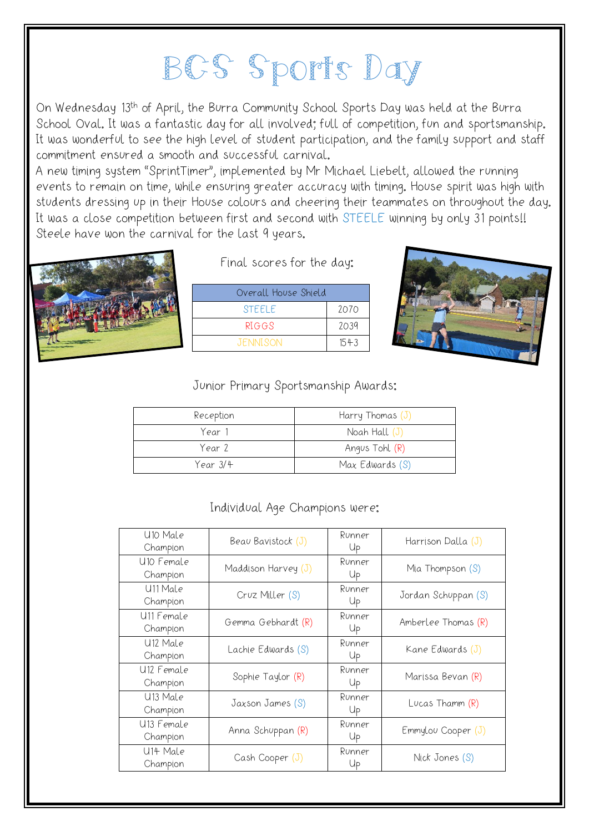## BCS Sports Day

On Wednesday 13<sup>th</sup> of April, the Burra Community School Sports Day was held at the Burra School Oval. It was a fantastic day for all involved; full of competition, fun and sportsmanship. It was wonderful to see the high level of student participation, and the family support and staff commitment ensured a smooth and successful carnival.

A new timing system "SprintTimer", implemented by Mr Michael Liebelt, allowed the running events to remain on time, while ensuring greater accuracy with timing. House spirit was high with students dressing up in their House colours and cheering their teammates on throughout the day. It was a close competition between first and second with STEELE winning by only 31 points!! Steele have won the carnival for the last 9 years.



Final scores for the day:

| Overall House Shield |      |  |  |
|----------------------|------|--|--|
| <b>STEFLE</b>        | 2070 |  |  |
| RIGGS                | 2039 |  |  |
| <b>JENNISON</b>      | 1543 |  |  |



## Junior Primary Sportsmanship Awards:

| Reception | Harry Thomas $(J)$ |
|-----------|--------------------|
| Year 1    | Noah Hall (J)      |
| Year 2    | Angus Tohl (R)     |
| Year 3/4  | Max Edwards (S)    |

## Individual Age Champions were:

| U10 Male<br>Champion               | Beau Bavistock (J)    | Runner<br>Up | Harrison Dalla $(J)$ |
|------------------------------------|-----------------------|--------------|----------------------|
| U10 Female<br>Champion             | Maddison Harvey $(J)$ | Runner<br>Up | Mia Thompson $(S)$   |
| U <sub>11</sub> Male<br>Champion   | Cruz Miller (S)       | Runner<br>Up | Jordan Schuppan (S)  |
| U <sub>11</sub> Female<br>Champion | Gemma Gebhardt (R)    | Runner<br>Up | Amberlee Thomas (R)  |
| U <sub>12</sub> Male<br>Champion   | Lachie Edwards (S)    | Runner<br>Up | Kane Edwards $(J)$   |
| U <sub>12</sub> Female<br>Champion | Sophie Taylor (R)     | Runner<br>Up | Marissa Bevan (R)    |
| U <sub>13</sub> Male<br>Champion   | Jaxson James (S)      | Runner<br>Up | Lucas Thamm $(R)$    |
| U <sub>13</sub> Female<br>Champion | Anna Schuppan (R)     | Runner<br>Up | Emmylou Cooper (J)   |
| U14 Male<br>Champion               | Cash Cooper (J)       | Runner<br>Up | Nick Jones (S)       |